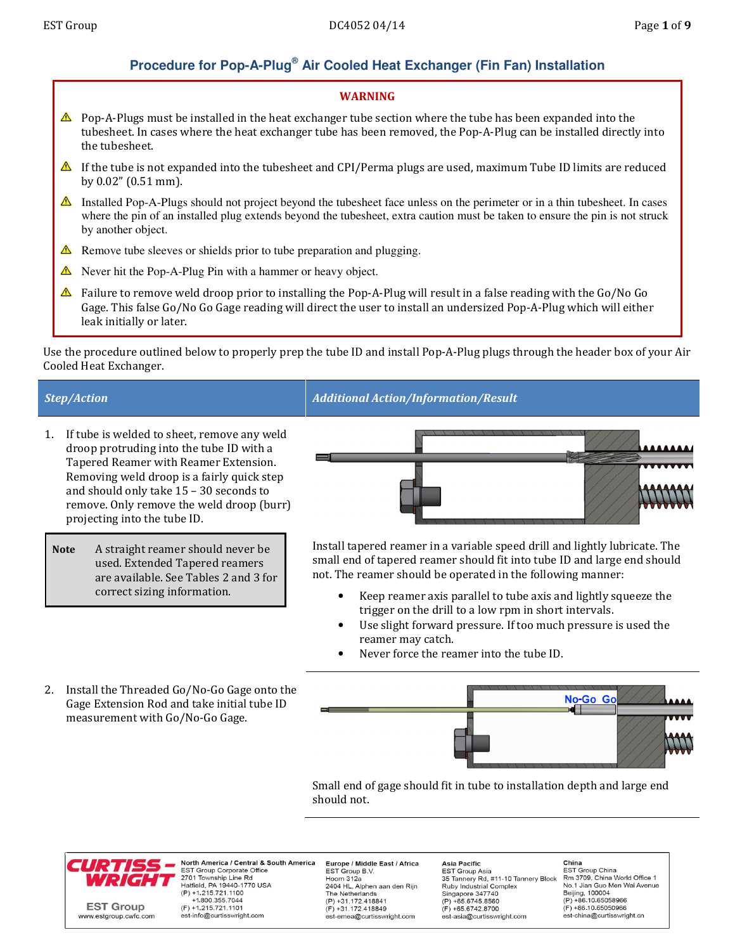# **Procedure for Pop-A-Plug® Air Cooled Heat Exchanger (Fin Fan) Installation**

## WARNING

- $\triangle$  Pop-A-Plugs must be installed in the heat exchanger tube section where the tube has been expanded into the tubesheet. In cases where the heat exchanger tube has been removed, the Pop-A-Plug can be installed directly into the tubesheet.
- If the tube is not expanded into the tubesheet and CPI/Perma plugs are used, maximum Tube ID limits are reduced by 0.02" (0.51 mm).
- Installed Pop-A-Plugs should not project beyond the tubesheet face unless on the perimeter or in a thin tubesheet. In cases where the pin of an installed plug extends beyond the tubesheet, extra caution must be taken to ensure the pin is not struck by another object.
- Remove tube sleeves or shields prior to tube preparation and plugging.
- Never hit the Pop-A-Plug Pin with a hammer or heavy object.
- $\triangle$  Failure to remove weld droop prior to installing the Pop-A-Plug will result in a false reading with the Go/No Go Gage. This false Go/No Go Gage reading will direct the user to install an undersized Pop-A-Plug which will either leak initially or later.

Use the procedure outlined below to properly prep the tube ID and install Pop-A-Plug plugs through the header box of your Air Cooled Heat Exchanger.

- 1. If tube is welded to sheet, remove any weld droop protruding into the tube ID with a Tapered Reamer with Reamer Extension. Removing weld droop is a fairly quick step and should only take 15 – 30 seconds to remove. Only remove the weld droop (burr) projecting into the tube ID.
- Note A straight reamer should never be used. Extended Tapered reamers are available. See Tables 2 and 3 for correct sizing information.

Step/Action Additional Action/Information/Result



Install tapered reamer in a variable speed drill and lightly lubricate. The small end of tapered reamer should fit into tube ID and large end should not. The reamer should be operated in the following manner:

- Keep reamer axis parallel to tube axis and lightly squeeze the trigger on the drill to a low rpm in short intervals.
- Use slight forward pressure. If too much pressure is used the reamer may catch.
- Never force the reamer into the tube ID.
- 2. Install the Threaded Go/No-Go Gage onto the Gage Extension Rod and take initial tube ID measurement with Go/No-Go Gage.



Small end of gage should fit in tube to installation depth and large end should not.



North America / Central & South America EST Group Corporate Office<br>2701 Township Line Rd<br>Hatfield, PA 19440-1770 USA  $(P) + 1.215.721.1100$ +1.800.355.7044  $(F) + 1.215.721.1101$ est-info@curtisswright.com

Europe / Middle East / Africa EST Group B.V.<br>Hoorn 312a 2404 HL, Alphen aan den Rijn The Netherlands (P) +31.172.418841  $(F) + 31.172.418849$ est-emea@curtisswright.com

**Asia Pacific** EST Group Asia<br>EST Group Asia<br>35 Tannery Rd, #11-10 Tannery Block **Ruby Industrial Complex** Singapore 347740  $(P) + 65.6745.8560$  $(F) + 65.6742.8700$ est-asia@curtisswright.com

China **FST Group China** EST Stoup Stillia<br>Rm 3709, China World Office 1<br>No.1 Jian Guo Men Wai Avenue Beijing, 100004<br>(P) +86.10.65058966  $(F) + 86.10.65050966$ est-china@curtisswright.cr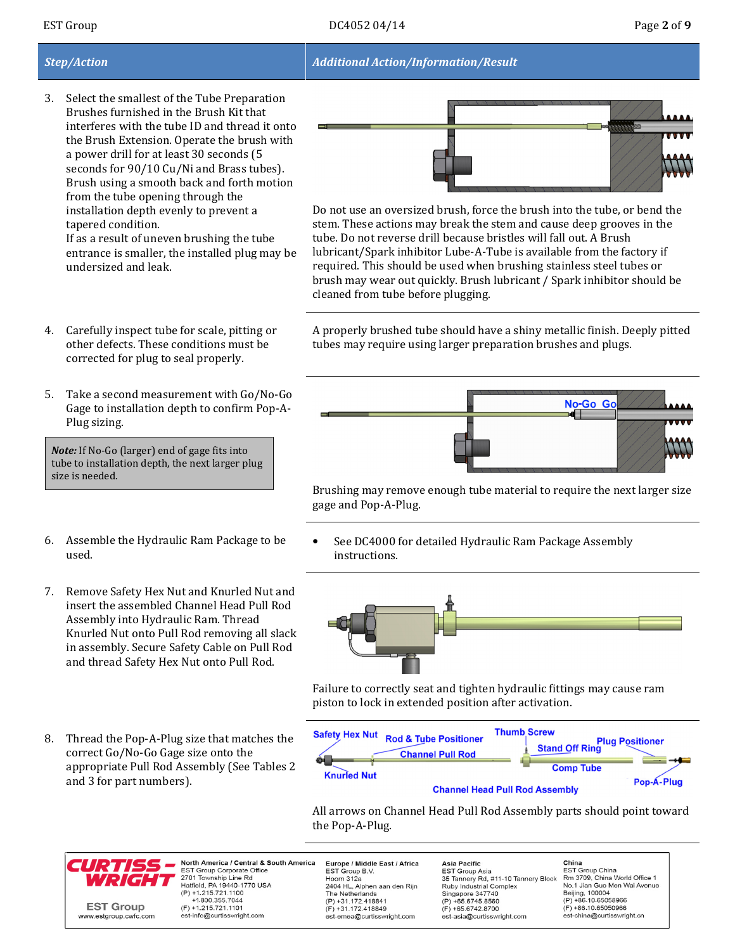## Step/Action Additional Action/Information/Result

- 3. Select the smallest of the Tube Preparation Brushes furnished in the Brush Kit that interferes with the tube ID and thread it onto the Brush Extension. Operate the brush with a power drill for at least 30 seconds (5 seconds for 90/10 Cu/Ni and Brass tubes). Brush using a smooth back and forth motion from the tube opening through the installation depth evenly to prevent a tapered condition. If as a result of uneven brushing the tube entrance is smaller, the installed plug may be undersized and leak.
- 

Do not use an oversized brush, force the brush into the tube, or bend the stem. These actions may break the stem and cause deep grooves in the tube. Do not reverse drill because bristles will fall out. A Brush lubricant/Spark inhibitor Lube-A-Tube is available from the factory if required. This should be used when brushing stainless steel tubes or brush may wear out quickly. Brush lubricant / Spark inhibitor should be cleaned from tube before plugging.

A properly brushed tube should have a shiny metallic finish. Deeply pitted tubes may require using larger preparation brushes and plugs.



Brushing may remove enough tube material to require the next larger size gage and Pop-A-Plug.

See DC4000 for detailed Hydraulic Ram Package Assembly instructions.



Failure to correctly seat and tighten hydraulic fittings may cause ram piston to lock in extended position after activation.



All arrows on Channel Head Pull Rod Assembly parts should point toward the Pop-A-Plug.



North America / Central & South America EST Group Corporate Office<br>2701 Township Line Rd<br>Hatfield, PA 19440-1770 USA  $(P) + 1.215.721.1100$ +1.800.355.7044  $(F) + 1.215.721.1101$ est-info@curtisswright.com

Europe / Middle East / Africa EST Group B.V.<br>Hoorn 312a 2404 HL, Alphen aan den Rijn The Netherlands (P) +31.172.418841  $(F) + 31.172.418849$ est-emea@curtisswright.com

Asia Pacific EST Group Asia<br>EST Group Asia<br>35 Tannery Rd, #11-10 Tannery Block **Ruby Industrial Complex** Singapore 347740  $(P) + 65.6745.8560$  $(F) + 65.6742.8700$ est-asia@curtisswright.com

China **FST Group China** EST Stoup Stillia<br>Rm 3709, China World Office 1<br>No.1 Jian Guo Men Wai Avenue Beijing, 100004<br>(P) +86.10.65058966  $(F) + 86.10.65050966$ est-china@curtisswright.cr

5. Take a second measurement with Go/No-Go Gage to installation depth to confirm Pop-A-

Note: If No-Go (larger) end of gage fits into tube to installation depth, the next larger plug size is needed.

Plug sizing.

4. Carefully inspect tube for scale, pitting or other defects. These conditions must be corrected for plug to seal properly.

- 6. Assemble the Hydraulic Ram Package to be used.
- 7. Remove Safety Hex Nut and Knurled Nut and insert the assembled Channel Head Pull Rod Assembly into Hydraulic Ram. Thread Knurled Nut onto Pull Rod removing all slack in assembly. Secure Safety Cable on Pull Rod and thread Safety Hex Nut onto Pull Rod.
- 8. Thread the Pop-A-Plug size that matches the correct Go/No-Go Gage size onto the appropriate Pull Rod Assembly (See Tables 2 and 3 for part numbers).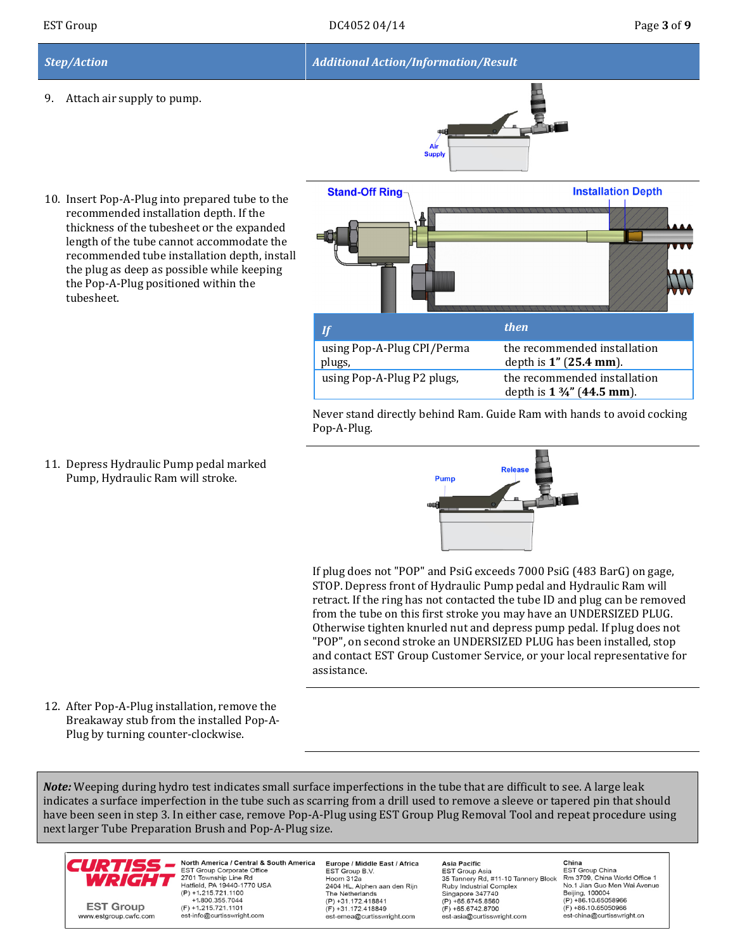9. Attach air supply to pump.





10. Insert Pop-A-Plug into prepared tube to the recommended installation depth. If the thickness of the tubesheet or the expanded length of the tube cannot accommodate the recommended tube installation depth, install the plug as deep as possible while keeping the Pop-A-Plug positioned within the tubesheet.

**Stand-Off Ring Installation Depth**  $\mathbf{I} f$  then then then then using Pop-A-Plug CPI/Perma the recommended installation depth is 1" (25.4 mm). plugs, using Pop-A-Plug P2 plugs, the recommended installation depth is 1 ¾" (44.5 mm).

Never stand directly behind Ram. Guide Ram with hands to avoid cocking Pop-A-Plug.

11. Depress Hydraulic Pump pedal marked Pump, Hydraulic Ram will stroke.



If plug does not "POP" and PsiG exceeds 7000 PsiG (483 BarG) on gage, STOP. Depress front of Hydraulic Pump pedal and Hydraulic Ram will retract. If the ring has not contacted the tube ID and plug can be removed from the tube on this first stroke you may have an UNDERSIZED PLUG. Otherwise tighten knurled nut and depress pump pedal. If plug does not "POP", on second stroke an UNDERSIZED PLUG has been installed, stop and contact EST Group Customer Service, or your local representative for assistance.

12. After Pop-A-Plug installation, remove the Breakaway stub from the installed Pop-A-Plug by turning counter-clockwise.

Note: Weeping during hydro test indicates small surface imperfections in the tube that are difficult to see. A large leak indicates a surface imperfection in the tube such as scarring from a drill used to remove a sleeve or tapered pin that should have been seen in step 3. In either case, remove Pop-A-Plug using EST Group Plug Removal Tool and repeat procedure using next larger Tube Preparation Brush and Pop-A-Plug size.



North America / Central & South America EST Group Corporate Office<br>2701 Township Line Rd<br>Hatfield, PA 19440-1770 USA  $(P) + 1.215.721.1100$ +1.800.355.7044  $(F) + 1.215.721.1101$ est-info@curtisswright.com

Europe / Middle East / Africa Est Group B.V.<br>EST Group B.V.<br>Hoorn 312a 2404 HL, Alphen aan den Rijn The Netherlands  $(P) +31.172.418841$  $(F) + 31.172.418849$ est-emea@curtisswright.com

**Asia Pacific** EST Group Asia<br>EST Group Asia<br>35 Tannery Rd, #11-10 Tannery Block **Ruby Industrial Complex** Singapore 347740  $(P) + 65.6745.8560$  $(F) + 65.6742.8700$ est-asia@curtisswright.com

China **FST Group China** EST Stoup Stillia<br>Rm 3709, China World Office 1<br>No.1 Jian Guo Men Wai Avenue Beijing, 100004<br>(P) +86.10.65058966  $(F) + 86.10.65050966$ est-china@curtisswright.cr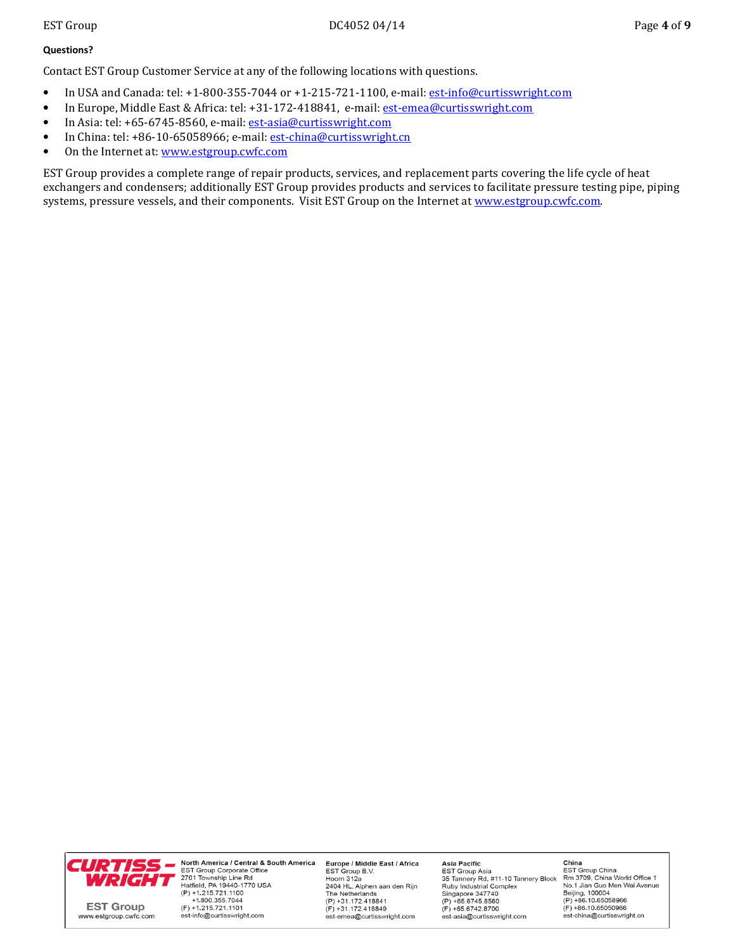### Questions?

Contact EST Group Customer Service at any of the following locations with questions.

- In USA and Canada: tel: +1-800-355-7044 or +1-215-721-1100, e-mail: est-info@curtisswright.com
- In Europe, Middle East & Africa: tel: +31-172-418841, e-mail: est-emea@curtisswright.com
- In Asia: tel: +65-6745-8560, e-mail: est-asia@curtisswright.com
- In China: tel: +86-10-65058966; e-mail: est-china@curtisswright.cn
- On the Internet at: www.estgroup.cwfc.com

EST Group provides a complete range of repair products, services, and replacement parts covering the life cycle of heat exchangers and condensers; additionally EST Group provides products and services to facilitate pressure testing pipe, piping systems, pressure vessels, and their components. Visit EST Group on the Internet at www.estgroup.cwfc.com.



North America / Central & South America  $(P) + 1.215.721.1100$ +1.800.355.7044  $(F) + 1.215.721.1101$ est-info@curtisswright.com

Europe / Middle East / Africa EST Group B.V.<br>EST Group B.V.<br>Hoorn 312a 2404 HL, Alphen aan den Rijn The Netherlands<br>(P) +31.172.418841  $(F) + 31.172.418849$ est-emea@curtisswright.com

Asia Pacific EST Group Asia<br>EST Group Asia<br>35 Tannery Rd, #11-10 Tannery Block **Ruby Industrial Complex** Singapore 347740<br>(P) +65.6745.8560  $(F) + 65.6742.8700$ est-asia@curtisswright.com

China **FST Group China** EST Stoup Shina<br>Rm 3709, China World Office 1<br>No.1 Jian Guo Men Wai Avenue Beijing, 100004<br>(P) +86.10.65058966  $(F) + 86.10.65050966$ est-china@curtisswright.cn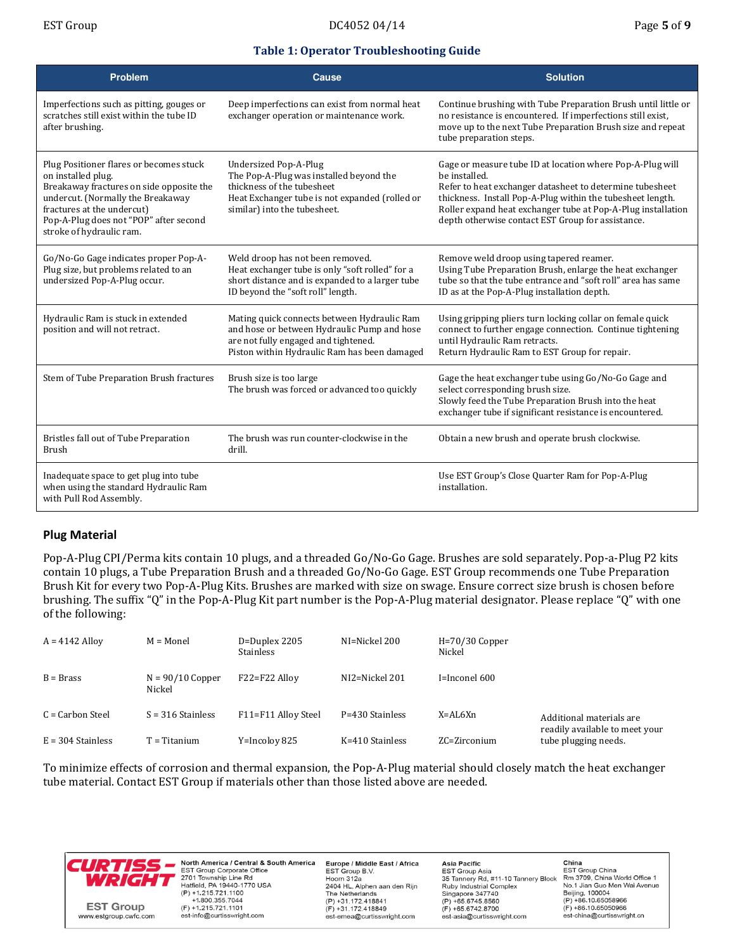## Table 1: Operator Troubleshooting Guide

| <b>Problem</b>                                                                                                                                                                                                                                     | Cause                                                                                                                                                                                   | <b>Solution</b>                                                                                                                                                                                                                                                                                                           |
|----------------------------------------------------------------------------------------------------------------------------------------------------------------------------------------------------------------------------------------------------|-----------------------------------------------------------------------------------------------------------------------------------------------------------------------------------------|---------------------------------------------------------------------------------------------------------------------------------------------------------------------------------------------------------------------------------------------------------------------------------------------------------------------------|
| Imperfections such as pitting, gouges or<br>scratches still exist within the tube ID<br>after brushing.                                                                                                                                            | Deep imperfections can exist from normal heat<br>exchanger operation or maintenance work.                                                                                               | Continue brushing with Tube Preparation Brush until little or<br>no resistance is encountered. If imperfections still exist,<br>move up to the next Tube Preparation Brush size and repeat<br>tube preparation steps.                                                                                                     |
| Plug Positioner flares or becomes stuck<br>on installed plug.<br>Breakaway fractures on side opposite the<br>undercut. (Normally the Breakaway<br>fractures at the undercut)<br>Pop-A-Plug does not "POP" after second<br>stroke of hydraulic ram. | <b>Undersized Pop-A-Plug</b><br>The Pop-A-Plug was installed beyond the<br>thickness of the tubesheet<br>Heat Exchanger tube is not expanded (rolled or<br>similar) into the tubesheet. | Gage or measure tube ID at location where Pop-A-Plug will<br>be installed.<br>Refer to heat exchanger datasheet to determine tubesheet<br>thickness. Install Pop-A-Plug within the tubesheet length.<br>Roller expand heat exchanger tube at Pop-A-Plug installation<br>depth otherwise contact EST Group for assistance. |
| Go/No-Go Gage indicates proper Pop-A-<br>Plug size, but problems related to an<br>undersized Pop-A-Plug occur.                                                                                                                                     | Weld droop has not been removed.<br>Heat exchanger tube is only "soft rolled" for a<br>short distance and is expanded to a larger tube<br>ID beyond the "soft roll" length.             | Remove weld droop using tapered reamer.<br>Using Tube Preparation Brush, enlarge the heat exchanger<br>tube so that the tube entrance and "soft roll" area has same<br>ID as at the Pop-A-Plug installation depth.                                                                                                        |
| Hydraulic Ram is stuck in extended<br>position and will not retract.                                                                                                                                                                               | Mating quick connects between Hydraulic Ram<br>and hose or between Hydraulic Pump and hose<br>are not fully engaged and tightened.<br>Piston within Hydraulic Ram has been damaged      | Using gripping pliers turn locking collar on female quick<br>connect to further engage connection. Continue tightening<br>until Hydraulic Ram retracts.<br>Return Hydraulic Ram to EST Group for repair.                                                                                                                  |
| Stem of Tube Preparation Brush fractures                                                                                                                                                                                                           | Brush size is too large<br>The brush was forced or advanced too quickly                                                                                                                 | Gage the heat exchanger tube using Go/No-Go Gage and<br>select corresponding brush size.<br>Slowly feed the Tube Preparation Brush into the heat<br>exchanger tube if significant resistance is encountered.                                                                                                              |
| Bristles fall out of Tube Preparation<br><b>Brush</b>                                                                                                                                                                                              | The brush was run counter-clockwise in the<br>drill.                                                                                                                                    | Obtain a new brush and operate brush clockwise.                                                                                                                                                                                                                                                                           |
| Inadequate space to get plug into tube<br>when using the standard Hydraulic Ram<br>with Pull Rod Assembly.                                                                                                                                         |                                                                                                                                                                                         | Use EST Group's Close Quarter Ram for Pop-A-Plug<br>installation.                                                                                                                                                                                                                                                         |

## Plug Material

Pop-A-Plug CPI/Perma kits contain 10 plugs, and a threaded Go/No-Go Gage. Brushes are sold separately. Pop-a-Plug P2 kits contain 10 plugs, a Tube Preparation Brush and a threaded Go/No-Go Gage. EST Group recommends one Tube Preparation Brush Kit for every two Pop-A-Plug Kits. Brushes are marked with size on swage. Ensure correct size brush is chosen before brushing. The suffix "Q" in the Pop-A-Plug Kit part number is the Pop-A-Plug material designator. Please replace "Q" with one of the following:

| $A = 4142$ Alloy    | $M = Monel$                  | D=Duplex 2205<br><b>Stainless</b> | NI=Nickel 200      | $H = 70/30$ Copper<br>Nickel |                                                        |
|---------------------|------------------------------|-----------------------------------|--------------------|------------------------------|--------------------------------------------------------|
| $B = Brass$         | $N = 90/10$ Copper<br>Nickel | F22=F22 Alloy                     | $NI2 = Nickel 201$ | $I=$ Inconel 600             |                                                        |
| C = Carbon Steel    | $S = 316$ Stainless          | F11=F11 Alloy Steel               | P=430 Stainless    | X=AL6Xn                      | Additional materials are                               |
| $E = 304$ Stainless | l' = Titanium                | Y=Incolov 825                     | K=410 Stainless    | $ZC = Zirconium$             | readily available to meet your<br>tube plugging needs. |

To minimize effects of corrosion and thermal expansion, the Pop-A-Plug material should closely match the heat exchanger tube material. Contact EST Group if materials other than those listed above are needed.



North America / Central & South America EST Group Corporate Office<br>2701 Township Line Rd<br>Hatfield, PA 19440-1770 USA  $(P) + 1.215.721.1100$ +1.800.355.7044  $(F) + 1.215.721.1101$ est-info@curtisswright.com

Europe / Middle East / Africa EST Group B.V.<br>EST Group B.V.<br>Hoorn 312a 2404 HL, Alphen aan den Rijn The Netherlands  $(P) +31.172.418841$  $(F) + 31.172.418849$ est-emea@curtisswright.com

Asia Pacific EST Group Asia<br>EST Group Asia<br>35 Tannery Rd, #11-10 Tannery Block Ruby Industrial Complex<br>Singapore 347740<br>(P) +65.6745.8560  $(F) + 65.6742.8700$ est-asia@curtisswright.com

China **FST Group China** EST Stoup Shina<br>Rm 3709, China World Office 1<br>No.1 Jian Guo Men Wai Avenue Beijing, 100004<br>(P) +86.10.65058966  $(F) + 86.10.65050966$ est-china@curtisswright.cn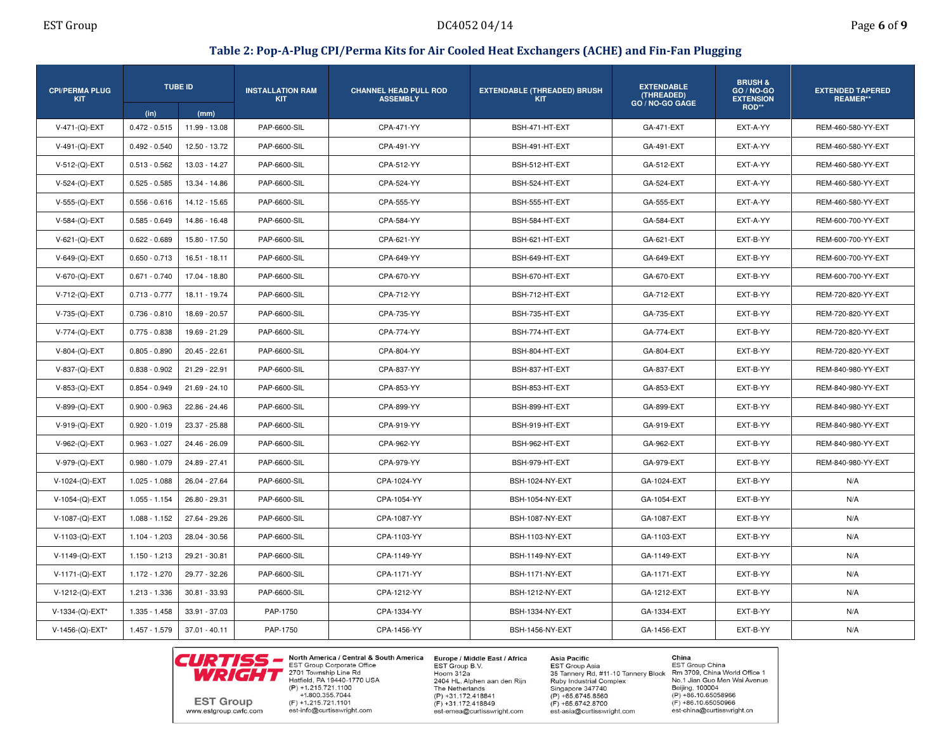### Table 2: Pop-A-Plug CPI/Perma Kits for Air Cooled Heat Exchangers (ACHE) and Fin-Fan Plugging

| <b>CPI/PERMA PLUG</b><br><b>KIT</b> |                         | <b>TUBE ID</b>        | <b>INSTALLATION RAM</b><br><b>KIT</b> | <b>CHANNEL HEAD PULL ROD</b><br><b>ASSEMBLY</b> | <b>EXTENDABLE (THREADED) BRUSH</b><br><b>KIT</b> | <b>EXTENDABLE</b><br>(THREADED)<br>GO / NO-GO GAGE | <b>BRUSH &amp;</b><br><b>GO / NO-GO</b><br><b>EXTENSION</b><br>ROD** | <b>EXTENDED TAPERED</b><br><b>REAMER**</b> |
|-------------------------------------|-------------------------|-----------------------|---------------------------------------|-------------------------------------------------|--------------------------------------------------|----------------------------------------------------|----------------------------------------------------------------------|--------------------------------------------|
| V-471-(Q)-EXT                       | (in)<br>$0.472 - 0.515$ | (mm)<br>11.99 - 13.08 | PAP-6600-SIL                          | CPA-471-YY                                      | BSH-471-HT-EXT                                   | GA-471-EXT                                         | EXT-A-YY                                                             | REM-460-580-YY-EXT                         |
| V-491-(Q)-EXT                       | $0.492 - 0.540$         | 12.50 - 13.72         | <b>PAP-6600-SIL</b>                   | CPA-491-YY                                      | BSH-491-HT-EXT                                   | GA-491-EXT                                         | EXT-A-YY                                                             | REM-460-580-YY-EXT                         |
| $V-512-(Q) - EXT$                   | $0.513 - 0.562$         | 13.03 - 14.27         | PAP-6600-SIL                          | CPA-512-YY                                      | BSH-512-HT-EXT                                   | GA-512-EXT                                         | EXT-A-YY                                                             | REM-460-580-YY-EXT                         |
| V-524-(Q)-EXT                       | $0.525 - 0.585$         | 13.34 - 14.86         | PAP-6600-SIL                          | CPA-524-YY                                      | BSH-524-HT-EXT                                   | GA-524-EXT                                         | EXT-A-YY                                                             | REM-460-580-YY-EXT                         |
| $V-555-(Q)$ -EXT                    | $0.556 - 0.616$         | 14.12 - 15.65         | PAP-6600-SIL                          | CPA-555-YY                                      | BSH-555-HT-EXT                                   | GA-555-EXT                                         | EXT-A-YY                                                             | REM-460-580-YY-EXT                         |
|                                     | $0.585 - 0.649$         |                       | <b>PAP-6600-SIL</b>                   | CPA-584-YY                                      |                                                  |                                                    | EXT-A-YY                                                             | REM-600-700-YY-EXT                         |
| $V-584-(Q)-EXT$                     |                         | 14.86 - 16.48         |                                       |                                                 | BSH-584-HT-EXT                                   | GA-584-EXT                                         |                                                                      |                                            |
| $V-621-(Q)-EXT$                     | $0.622 - 0.689$         | 15.80 - 17.50         | <b>PAP-6600-SIL</b>                   | CPA-621-YY                                      | BSH-621-HT-EXT                                   | GA-621-EXT                                         | EXT-B-YY                                                             | REM-600-700-YY-EXT                         |
| $V-649-(Q)-EXT$                     | $0.650 - 0.713$         | $16.51 - 18.11$       | PAP-6600-SIL                          | CPA-649-YY                                      | BSH-649-HT-EXT                                   | GA-649-EXT                                         | EXT-B-YY                                                             | REM-600-700-YY-EXT                         |
| V-670-(Q)-EXT                       | $0.671 - 0.740$         | 17.04 - 18.80         | PAP-6600-SIL                          | CPA-670-YY                                      | BSH-670-HT-EXT                                   | GA-670-EXT                                         | EXT-B-YY                                                             | REM-600-700-YY-EXT                         |
| V-712-(Q)-EXT                       | $0.713 - 0.777$         | 18.11 - 19.74         | PAP-6600-SIL                          | CPA-712-YY                                      | BSH-712-HT-EXT                                   | GA-712-EXT                                         | EXT-B-YY                                                             | REM-720-820-YY-EXT                         |
| V-735-(Q)-EXT                       | $0.736 - 0.810$         | 18.69 - 20.57         | PAP-6600-SIL                          | CPA-735-YY                                      | BSH-735-HT-EXT                                   | GA-735-EXT                                         | EXT-B-YY                                                             | REM-720-820-YY-EXT                         |
| V-774-(Q)-EXT                       | $0.775 - 0.838$         | 19.69 - 21.29         | PAP-6600-SIL                          | CPA-774-YY                                      | BSH-774-HT-EXT                                   | <b>GA-774-EXT</b>                                  | EXT-B-YY                                                             | REM-720-820-YY-EXT                         |
| $V-804-(Q)-EXT$                     | $0.805 - 0.890$         | 20.45 - 22.61         | PAP-6600-SIL                          | CPA-804-YY                                      | BSH-804-HT-EXT                                   | GA-804-EXT                                         | EXT-B-YY                                                             | REM-720-820-YY-EXT                         |
| V-837-(Q)-EXT                       | $0.838 - 0.902$         | 21.29 - 22.91         | PAP-6600-SIL                          | CPA-837-YY                                      | BSH-837-HT-EXT                                   | GA-837-EXT                                         | EXT-B-YY                                                             | REM-840-980-YY-EXT                         |
| $V-853-(Q)$ -EXT                    | $0.854 - 0.949$         | $21.69 - 24.10$       | PAP-6600-SIL                          | CPA-853-YY                                      | BSH-853-HT-EXT                                   | GA-853-EXT                                         | EXT-B-YY                                                             | REM-840-980-YY-EXT                         |
| $V-899-(Q)-EXT$                     | $0.900 - 0.963$         | 22.86 - 24.46         | PAP-6600-SIL                          | CPA-899-YY                                      | BSH-899-HT-EXT                                   | GA-899-EXT                                         | EXT-B-YY                                                             | REM-840-980-YY-EXT                         |
| $V-919-(Q)-EXT$                     | $0.920 - 1.019$         | 23.37 - 25.88         | <b>PAP-6600-SIL</b>                   | CPA-919-YY                                      | BSH-919-HT-EXT                                   | GA-919-EXT                                         | EXT-B-YY                                                             | REM-840-980-YY-EXT                         |
| $V-962-(Q)$ -EXT                    | $0.963 - 1.027$         | 24.46 - 26.09         | PAP-6600-SIL                          | CPA-962-YY                                      | BSH-962-HT-EXT                                   | GA-962-EXT                                         | EXT-B-YY                                                             | REM-840-980-YY-EXT                         |
| V-979-(Q)-EXT                       | $0.980 - 1.079$         | 24.89 - 27.41         | PAP-6600-SIL                          | CPA-979-YY                                      | BSH-979-HT-EXT                                   | GA-979-EXT                                         | EXT-B-YY                                                             | REM-840-980-YY-EXT                         |
| V-1024-(Q)-EXT                      | $1.025 - 1.088$         | 26.04 - 27.64         | PAP-6600-SIL                          | CPA-1024-YY                                     | BSH-1024-NY-EXT                                  | GA-1024-EXT                                        | EXT-B-YY                                                             | N/A                                        |
| V-1054-(Q)-EXT                      | $1.055 - 1.154$         | 26.80 - 29.31         | PAP-6600-SIL                          | CPA-1054-YY                                     | BSH-1054-NY-EXT                                  | GA-1054-EXT                                        | EXT-B-YY                                                             | N/A                                        |
| V-1087-(Q)-EXT                      | $1.088 - 1.152$         | 27.64 - 29.26         | PAP-6600-SIL                          | CPA-1087-YY                                     | <b>BSH-1087-NY-EXT</b>                           | GA-1087-EXT                                        | EXT-B-YY                                                             | N/A                                        |
| V-1103-(Q)-EXT                      | $1.104 - 1.203$         | 28.04 - 30.56         | PAP-6600-SIL                          | CPA-1103-YY                                     | <b>BSH-1103-NY-EXT</b>                           | GA-1103-EXT                                        | EXT-B-YY                                                             | N/A                                        |
| V-1149-(Q)-EXT                      | $1.150 - 1.213$         | 29.21 - 30.81         | PAP-6600-SIL                          | CPA-1149-YY                                     | BSH-1149-NY-EXT                                  | GA-1149-EXT                                        | EXT-B-YY                                                             | N/A                                        |
| V-1171-(Q)-EXT                      | 1.172 - 1.270           | 29.77 - 32.26         | PAP-6600-SIL                          | CPA-1171-YY                                     | BSH-1171-NY-EXT                                  | GA-1171-EXT                                        | EXT-B-YY                                                             | N/A                                        |
| V-1212-(Q)-EXT                      | 1.213 - 1.336           | $30.81 - 33.93$       | PAP-6600-SIL                          | CPA-1212-YY                                     | BSH-1212-NY-EXT                                  | GA-1212-EXT                                        | EXT-B-YY                                                             | N/A                                        |
| V-1334-(Q)-EXT*                     | $1.335 - 1.458$         | 33.91 - 37.03         | PAP-1750                              | CPA-1334-YY                                     | BSH-1334-NY-EXT                                  | GA-1334-EXT                                        | EXT-B-YY                                                             | N/A                                        |
| V-1456-(Q)-EXT*                     | $1.457 - 1.579$         | $37.01 - 40.11$       | PAP-1750                              | CPA-1456-YY                                     | <b>BSH-1456-NY-EXT</b>                           | GA-1456-EXT                                        | EXT-B-YY                                                             | N/A                                        |



North America / Central & South America Europe / Middle East / Africa<br>EST Group Corporate Office EST Group B.V. 2701 Township Line Rd<br>Hatfield, PA 19440-1770 USA  $(P) + 1.215.721.1100$ +1.800.355.7044  $(F) + 1.215.721.1101$ est-info@curtisswright.com

Hoorn 312a 2404 HL, Alphen aan den Rijn The Netherlands  $(P) +31.172.418841$  $(F) +31.172.418849$ est-emea@curtisswright.com

**Asia Pacific EST Group Asia** 35 Tannery Rd, #11-10 Tannery Block **Ruby Industrial Complex** Singapore 347740  $(P) + 65.6745.8560$  $(F) + 65.6742.8700$ est-asia@curtisswright.com

China EST Group China<br>Rm 3709, China World Office 1 No.1 Jian Guo Men Wai Avenue Beijing, 100004  $(P) + 86.10.65058966$  $(F) + 86.10.65050966$ est-china@curtisswright.cn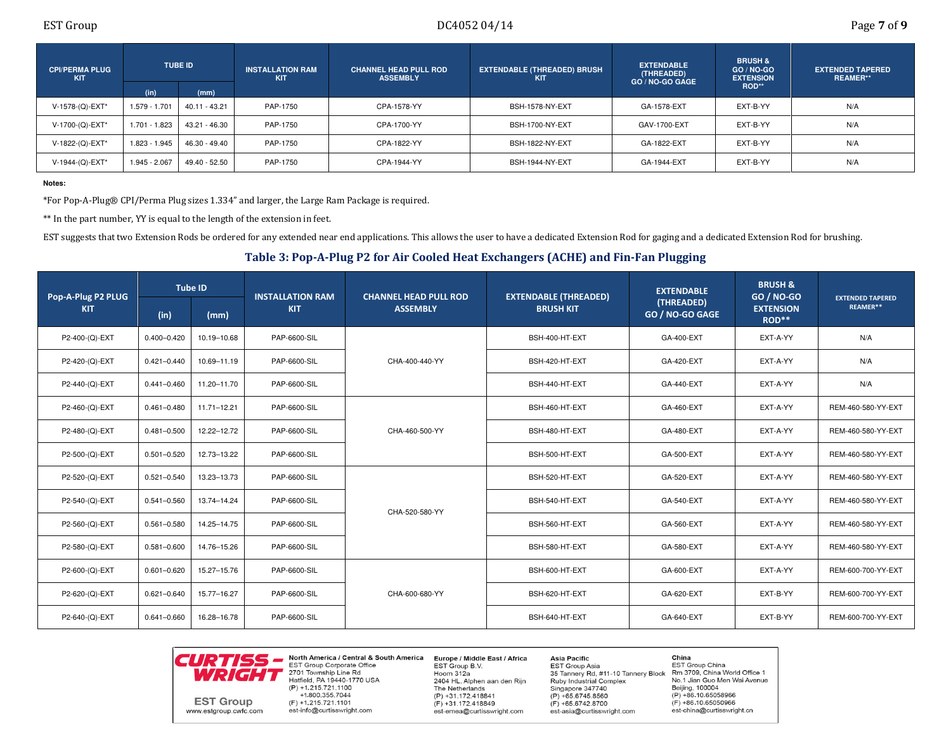| <b>CPI/PERMA PLUG</b><br><b>KIT</b> |               | <b>TUBE ID</b> | <b>INSTALLATION RAM</b><br><b>KIT</b> | <b>CHANNEL HEAD PULL ROD</b><br><b>ASSEMBLY</b> | <b>EXTENDABLE (THREADED) BRUSH</b><br>KIT | <b>EXTENDABLE</b><br>(THREADED)<br>GO / NO-GO GAGE | <b>BRUSH &amp;</b><br>$GO/NO-GO$<br><b>EXTENSION</b> | <b>EXTENDED TAPERED</b><br><b>REAMER**</b> |
|-------------------------------------|---------------|----------------|---------------------------------------|-------------------------------------------------|-------------------------------------------|----------------------------------------------------|------------------------------------------------------|--------------------------------------------|
|                                     | (in)          | (mm)           |                                       |                                                 |                                           |                                                    | ROD**                                                |                                            |
| V-1578-(Q)-EXT*                     | 1.579 - 1.701 | 40.11 - 43.21  | PAP-1750                              | CPA-1578-YY                                     | BSH-1578-NY-EXT                           | GA-1578-EXT                                        | EXT-B-YY                                             | N/A                                        |
| V-1700-(Q)-EXT*                     | 1.701 - 1.823 | 43.21 - 46.30  | PAP-1750                              | CPA-1700-YY                                     | <b>BSH-1700-NY-EXT</b>                    | GAV-1700-EXT                                       | EXT-B-YY                                             | N/A                                        |
| V-1822-(Q)-EXT*                     | 1.823 - 1.945 | 46.30 - 49.40  | PAP-1750                              | CPA-1822-YY                                     | <b>BSH-1822-NY-EXT</b>                    | GA-1822-EXT                                        | EXT-B-YY                                             | N/A                                        |
| V-1944-(Q)-EXT*                     | 1.945 - 2.067 | 49.40 - 52.50  | PAP-1750                              | CPA-1944-YY                                     | <b>BSH-1944-NY-EXT</b>                    | GA-1944-EXT                                        | EXT-B-YY                                             | N/A                                        |

### **Notes:**

\*For Pop-A-Plug® CPI/Perma Plug sizes 1.334" and larger, the Large Ram Package is required.

\*\* In the part number, YY is equal to the length of the extension in feet.

EST suggests that two Extension Rods be ordered for any extended near end applications. This allows the user to have a dedicated Extension Rod for gaging and a dedicated Extension Rod for brushing.

Table 3: Pop-A-Plug P2 for Air Cooled Heat Exchangers (ACHE) and Fin-Fan Plugging

| Pop-A-Plug P2 PLUG |                 | <b>Tube ID</b> | <b>INSTALLATION RAM</b> | <b>CHANNEL HEAD PULL ROD</b> | <b>EXTENDABLE (THREADED)</b> | <b>EXTENDABLE</b>             | <b>BRUSH &amp;</b><br>GO / NO-GO | <b>EXTENDED TAPERED</b> |
|--------------------|-----------------|----------------|-------------------------|------------------------------|------------------------------|-------------------------------|----------------------------------|-------------------------|
| <b>KIT</b>         | (in)            | (mm)           | <b>KIT</b>              | <b>ASSEMBLY</b>              | <b>BRUSH KIT</b>             | (THREADED)<br>GO / NO-GO GAGE | <b>EXTENSION</b><br>ROD**        | REAMER**                |
| P2-400-(Q)-EXT     | $0.400 - 0.420$ | 10.19-10.68    | PAP-6600-SIL            |                              | BSH-400-HT-EXT               | GA-400-EXT                    | EXT-A-YY                         | N/A                     |
| P2-420-(Q)-EXT     | $0.421 - 0.440$ | 10.69-11.19    | PAP-6600-SIL            | CHA-400-440-YY               | BSH-420-HT-EXT               | GA-420-EXT                    | EXT-A-YY                         | N/A                     |
| P2-440-(Q)-EXT     | $0.441 - 0.460$ | 11.20-11.70    | PAP-6600-SIL            |                              | BSH-440-HT-EXT               | GA-440-EXT                    | EXT-A-YY                         | N/A                     |
| P2-460-(Q)-EXT     | $0.461 - 0.480$ | 11.71-12.21    | PAP-6600-SIL            | CHA-460-500-YY               | BSH-460-HT-EXT               | GA-460-EXT                    | EXT-A-YY                         | REM-460-580-YY-EXT      |
| P2-480-(Q)-EXT     | $0.481 - 0.500$ | 12.22-12.72    | PAP-6600-SIL            |                              | BSH-480-HT-EXT               | GA-480-EXT                    | EXT-A-YY                         | REM-460-580-YY-EXT      |
| P2-500-(Q)-EXT     | $0.501 - 0.520$ | 12.73-13.22    | PAP-6600-SIL            |                              | BSH-500-HT-EXT               | GA-500-EXT                    | EXT-A-YY                         | REM-460-580-YY-EXT      |
| P2-520-(Q)-EXT     | $0.521 - 0.540$ | 13.23-13.73    | PAP-6600-SIL            |                              | BSH-520-HT-EXT               | GA-520-EXT                    | EXT-A-YY                         | REM-460-580-YY-EXT      |
| P2-540-(Q)-EXT     | $0.541 - 0.560$ | 13.74-14.24    | PAP-6600-SIL            |                              | BSH-540-HT-EXT               | GA-540-EXT                    | EXT-A-YY                         | REM-460-580-YY-EXT      |
| P2-560-(Q)-EXT     | $0.561 - 0.580$ | 14.25-14.75    | PAP-6600-SIL            | CHA-520-580-YY               | BSH-560-HT-EXT               | GA-560-EXT                    | EXT-A-YY                         | REM-460-580-YY-EXT      |
| P2-580-(Q)-EXT     | $0.581 - 0.600$ | 14.76-15.26    | PAP-6600-SIL            |                              | BSH-580-HT-EXT               | GA-580-EXT                    | EXT-A-YY                         | REM-460-580-YY-EXT      |
| P2-600-(Q)-EXT     | $0.601 - 0.620$ | 15.27-15.76    | PAP-6600-SIL            |                              | BSH-600-HT-EXT               | GA-600-EXT                    | EXT-A-YY                         | REM-600-700-YY-EXT      |
| P2-620-(Q)-EXT     | $0.621 - 0.640$ | 15.77-16.27    | PAP-6600-SIL            | CHA-600-680-YY               | BSH-620-HT-EXT               | GA-620-EXT                    | EXT-B-YY                         | REM-600-700-YY-EXT      |
| P2-640-(Q)-EXT     | $0.641 - 0.660$ | 16.28-16.78    | PAP-6600-SIL            |                              | BSH-640-HT-EXT               | GA-640-EXT                    | EXT-B-YY                         | REM-600-700-YY-EXT      |



North America / Central & South America Europe / Middle East / Africa **EST Group Corporate Office** 2701 Township Line Rd Hatfield, PA 19440-1770 USA  $(P) + 1.215.721.1100$ +1.800.355.7044  $(F) + 1.215.721.1101$ est-info@curtisswright.com

EST Group B.V. Hoorn 312a 2404 HL, Alphen aan den Rijn The Netherlands  $(P) + 31.172.418841$  $(F) + 31.172.418849$ est-emea@curtisswright.com

**Asia Pacific EST Group Asia** 35 Tannery Rd, #11-10 Tannery Block Ruby Industrial Complex Singapore 347740  $(P) + 65.6745.8560$  $(F) + 65.6742.8700$ est-asia@curtisswright.com

China EST Group China Rm 3709, China World Office 1 No.1 Jian Guo Men Wai Avenue Beijing, 100004  $(P) + 86.10.65058966$  $(F) + 86.10.65050966$ est-china@curtisswright.cn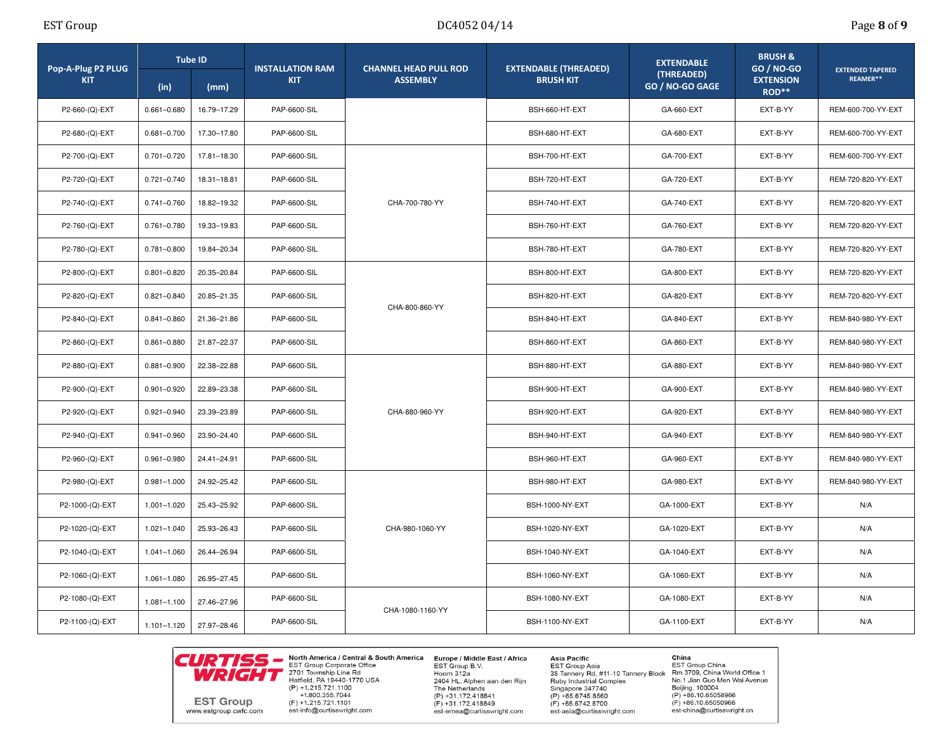|  | Page 8 of 9 |  |  |  |
|--|-------------|--|--|--|
|--|-------------|--|--|--|

| Pop-A-Plug P2 PLUG |                 | <b>Tube ID</b> |              | <b>INSTALLATION RAM</b><br><b>CHANNEL HEAD PULL ROD</b> |                                                  | <b>EXTENDABLE</b>             | <b>BRUSH &amp;</b><br><b>GO / NO-GO</b> | <b>EXTENDED TAPERED</b> |
|--------------------|-----------------|----------------|--------------|---------------------------------------------------------|--------------------------------------------------|-------------------------------|-----------------------------------------|-------------------------|
| <b>KIT</b>         | (in)            | (mm)           | <b>KIT</b>   | <b>ASSEMBLY</b>                                         | <b>EXTENDABLE (THREADED)</b><br><b>BRUSH KIT</b> | (THREADED)<br>GO / NO-GO GAGE | <b>EXTENSION</b><br>ROD**               | REAMER**                |
| P2-660-(Q)-EXT     | $0.661 - 0.680$ | 16.79-17.29    | PAP-6600-SIL |                                                         | BSH-660-HT-EXT                                   | GA-660-EXT                    | EXT-B-YY                                | REM-600-700-YY-EXT      |
| P2-680-(Q)-EXT     | $0.681 - 0.700$ | 17.30-17.80    | PAP-6600-SIL |                                                         | BSH-680-HT-EXT                                   | GA-680-EXT                    | EXT-B-YY                                | REM-600-700-YY-EXT      |
| P2-700-(Q)-EXT     | $0.701 - 0.720$ | 17.81-18.30    | PAP-6600-SIL |                                                         | BSH-700-HT-EXT                                   | GA-700-EXT                    | EXT-B-YY                                | REM-600-700-YY-EXT      |
| P2-720-(Q)-EXT     | $0.721 - 0.740$ | 18.31-18.81    | PAP-6600-SIL |                                                         | BSH-720-HT-EXT                                   | GA-720-EXT                    | EXT-B-YY                                | REM-720-820-YY-EXT      |
| P2-740-(Q)-EXT     | $0.741 - 0.760$ | 18.82-19.32    | PAP-6600-SIL | CHA-700-780-YY                                          | BSH-740-HT-EXT                                   | GA-740-EXT                    | EXT-B-YY                                | REM-720-820-YY-EXT      |
| P2-760-(Q)-EXT     | $0.761 - 0.780$ | 19.33-19.83    | PAP-6600-SIL |                                                         | BSH-760-HT-EXT                                   | GA-760-EXT                    | EXT-B-YY                                | REM-720-820-YY-EXT      |
| P2-780-(Q)-EXT     | $0.781 - 0.800$ | 19.84-20.34    | PAP-6600-SIL |                                                         | BSH-780-HT-EXT                                   | GA-780-EXT                    | EXT-B-YY                                | REM-720-820-YY-EXT      |
| P2-800-(Q)-EXT     | $0.801 - 0.820$ | 20.35-20.84    | PAP-6600-SIL |                                                         | BSH-800-HT-EXT                                   | GA-800-EXT                    | EXT-B-YY                                | REM-720-820-YY-EXT      |
| P2-820-(Q)-EXT     | $0.821 - 0.840$ | 20.85-21.35    | PAP-6600-SIL | CHA-800-860-YY<br>CHA-880-960-YY                        | BSH-820-HT-EXT                                   | GA-820-EXT                    | EXT-B-YY                                | REM-720-820-YY-EXT      |
| P2-840-(Q)-EXT     | $0.841 - 0.860$ | 21.36-21.86    | PAP-6600-SIL |                                                         | BSH-840-HT-EXT                                   | GA-840-EXT                    | EXT-B-YY                                | REM-840-980-YY-EXT      |
| P2-860-(Q)-EXT     | $0.861 - 0.880$ | 21.87-22.37    | PAP-6600-SIL |                                                         | BSH-860-HT-EXT                                   | GA-860-EXT                    | EXT-B-YY                                | REM-840-980-YY-EXT      |
| P2-880-(Q)-EXT     | $0.881 - 0.900$ | 22.38-22.88    | PAP-6600-SIL |                                                         | BSH-880-HT-EXT                                   | GA-880-EXT                    | EXT-B-YY                                | REM-840-980-YY-EXT      |
| P2-900-(Q)-EXT     | $0.901 - 0.920$ | 22.89-23.38    | PAP-6600-SIL |                                                         | BSH-900-HT-EXT                                   | GA-900-EXT                    | EXT-B-YY                                | REM-840-980-YY-EXT      |
| P2-920-(Q)-EXT     | $0.921 - 0.940$ | 23.39-23.89    | PAP-6600-SIL |                                                         | BSH-920-HT-EXT                                   | GA-920-EXT                    | EXT-B-YY                                | REM-840-980-YY-EXT      |
| P2-940-(Q)-EXT     | $0.941 - 0.960$ | 23.90-24.40    | PAP-6600-SIL |                                                         | BSH-940-HT-EXT                                   | GA-940-EXT                    | EXT-B-YY                                | REM-840-980-YY-EXT      |
| P2-960-(Q)-EXT     | $0.961 - 0.980$ | 24.41-24.91    | PAP-6600-SIL |                                                         | BSH-960-HT-EXT                                   | GA-960-EXT                    | EXT-B-YY                                | REM-840-980-YY-EXT      |
| P2-980-(Q)-EXT     | $0.981 - 1.000$ | 24.92-25.42    | PAP-6600-SIL |                                                         | BSH-980-HT-EXT                                   | GA-980-EXT                    | EXT-B-YY                                | REM-840-980-YY-EXT      |
| P2-1000-(Q)-EXT    | $1.001 - 1.020$ | 25.43-25.92    | PAP-6600-SIL |                                                         | <b>BSH-1000-NY-EXT</b>                           | GA-1000-EXT                   | EXT-B-YY                                | N/A                     |
| P2-1020-(Q)-EXT    | 1.021-1.040     | 25.93-26.43    | PAP-6600-SIL | CHA-980-1060-YY                                         | BSH-1020-NY-EXT                                  | GA-1020-EXT                   | EXT-B-YY                                | N/A                     |
| P2-1040-(Q)-EXT    | $1.041 - 1.060$ | 26.44-26.94    | PAP-6600-SIL |                                                         | <b>BSH-1040-NY-EXT</b>                           | GA-1040-EXT                   | EXT-B-YY                                | N/A                     |
| P2-1060-(Q)-EXT    | $1.061 - 1.080$ | 26.95-27.45    | PAP-6600-SIL |                                                         | BSH-1060-NY-EXT                                  | GA-1060-EXT                   | EXT-B-YY                                | N/A                     |
| P2-1080-(Q)-EXT    | 1.081-1.100     | 27.46-27.96    | PAP-6600-SIL |                                                         | <b>BSH-1080-NY-EXT</b>                           | GA-1080-EXT                   | EXT-B-YY                                | N/A                     |
| P2-1100-(Q)-EXT    | $1.101 - 1.120$ | 27.97-28.46    | PAP-6600-SIL | CHA-1080-1160-YY                                        | <b>BSH-1100-NY-EXT</b>                           | GA-1100-EXT                   | EXT-B-YY                                | N/A                     |



North America / Central & South America Europe / Middle East / Africa<br>EST Group Corporate Office EST Group B.V. 2701 Township Line Rd<br>Hatfield, PA 19440-1770 USA  $(P) + 1.215.721.1100$ +1.800.355.7044  $(F) + 1.215.721.1101$ est-info@curtisswright.com

Hoorn 312a 2404 HL, Alphen aan den Rijn The Netherlands  $(P) +31.172.418841$  $(F) +31.172.418849$ est-emea@curtisswright.com

**Asia Pacific** EST Group Asia 35 Tannery Rd, #11-10 Tannery Block **Ruby Industrial Complex** Singapore 347740  $(P) + 65.6745.8560$  $(F) + 65.6742.8700$ est-asia@curtisswright.com

**China**<br>EST Group China<br>Rm 3709, China World Office 1 No.1 Jian Guo Men Wai Avenue Beijing, 100004  $(P) + 86.10.65058966$  $(F) + 86.10.65050966$ est-china@curtisswright.cn